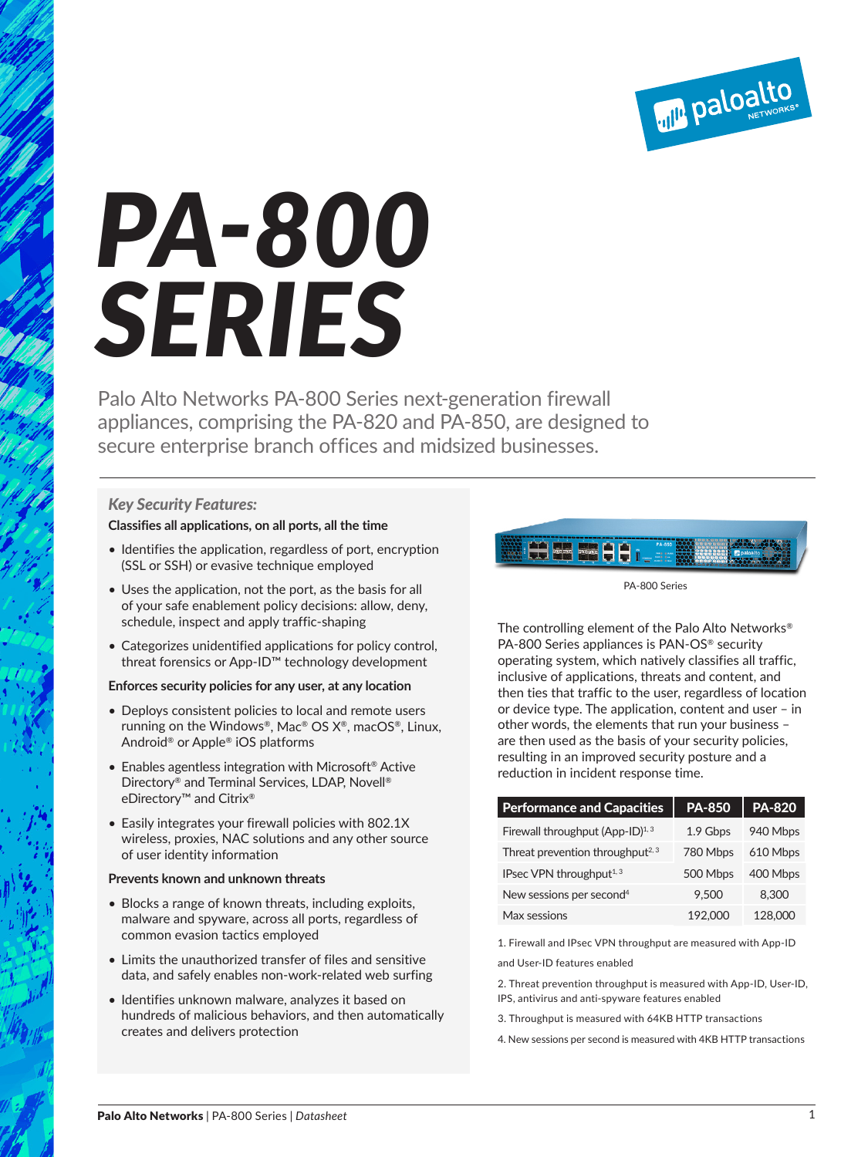

# *PA-800 SERIES*

Palo Alto Networks PA-800 Series next-generation firewall appliances, comprising the PA-820 and PA-850, are designed to secure enterprise branch offices and midsized businesses.

# *Key Security Features:*

# **Classifies all applications, on all ports, all the time**

- Identifies the application, regardless of port, encryption (SSL or SSH) or evasive technique employed
- Uses the application, not the port, as the basis for all of your safe enablement policy decisions: allow, deny, schedule, inspect and apply traffic-shaping
- Categorizes unidentified applications for policy control, threat forensics or App-ID™ technology development

#### **Enforces security policies for any user, at any location**

- Deploys consistent policies to local and remote users running on the Windows®, Mac® OS  $X^{\circledast}$ , macOS®, Linux, Android® or Apple® iOS platforms
- Enables agentless integration with Microsoft<sup>®</sup> Active Directory® and Terminal Services, LDAP, Novell® eDirectory™ and Citrix®
- Easily integrates your firewall policies with 802.1X wireless, proxies, NAC solutions and any other source of user identity information

#### **Prevents known and unknown threats**

- Blocks a range of known threats, including exploits, malware and spyware, across all ports, regardless of common evasion tactics employed
- Limits the unauthorized transfer of files and sensitive data, and safely enables non-work-related web surfing
- Identifies unknown malware, analyzes it based on hundreds of malicious behaviors, and then automatically creates and delivers protection



PA-800 Series

The controlling element of the Palo Alto Networks® PA-800 Series appliances is PAN-OS® security operating system, which natively classifies all traffic, inclusive of applications, threats and content, and then ties that traffic to the user, regardless of location or device type. The application, content and user – in other words, the elements that run your business – are then used as the basis of your security policies, resulting in an improved security posture and a reduction in incident response time.

| <b>Performance and Capacities</b>            | <b>PA-850</b> | <b>PA-820</b> |
|----------------------------------------------|---------------|---------------|
| Firewall throughput (App-ID) $1,3$           | 1.9 Gbps      | 940 Mbps      |
| Threat prevention throughput <sup>2, 3</sup> | 780 Mbps      | 610 Mbps      |
| IPsec VPN throughput $1,3$                   | 500 Mbps      | 400 Mbps      |
| New sessions per second <sup>4</sup>         | 9.500         | 8.300         |
| Max sessions                                 | 192.000       | 128,000       |

1. Firewall and IPsec VPN throughput are measured with App-ID

and User-ID features enabled

- 2. Threat prevention throughput is measured with App-ID, User-ID, IPS, antivirus and anti-spyware features enabled
- 3. Throughput is measured with 64KB HTTP transactions
- 4. New sessions per second is measured with 4KB HTTP transactions